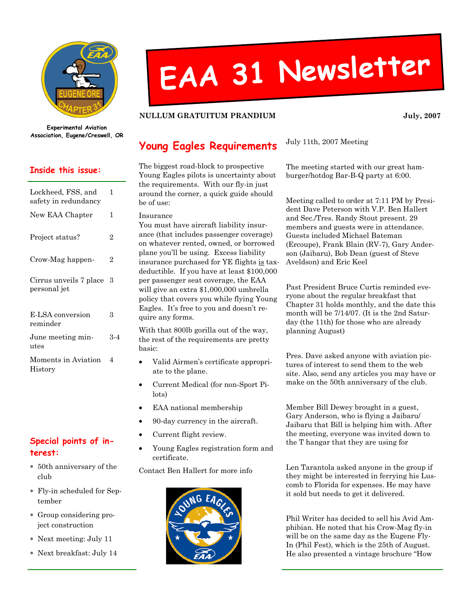

Experimental Aviation Association, Eugene/Creswell, OR

#### Inside this issue:

| Lockheed, FSS, and<br>safety in redundancy | 1   |
|--------------------------------------------|-----|
| New EAA Chapter                            | 1   |
| Project status?                            | 2   |
| Crow-Mag happen-                           | 2   |
| Cirrus unveils 7 place<br>personal jet     | З   |
| E-LSA conversion<br>reminder               | 3   |
| June meeting min-<br>utes                  | 3-4 |
| Moments in Aviation<br>History             | 4   |

#### Special points of interest:

- ∗ 50th anniversary of the club
- ∗ Fly-in scheduled for September
- ∗ Group considering project construction
- ∗ Next meeting: July 11
- ∗ Next breakfast: July 14

# EAA <sup>31</sup> Newsletter

#### NULLUM GRATUITUM PRANDIUM **Valley State State State State State** 3007

### Young Eagles Requirements

The biggest road-block to prospective Young Eagles pilots is uncertainty about the requirements. With our fly-in just around the corner, a quick guide should be of use:

Insurance

You must have aircraft liability insurance (that includes passenger coverage) on whatever rented, owned, or borrowed plane you'll be using. Excess liability insurance purchased for YE flights is taxdeductible. If you have at least \$100,000 per passenger seat coverage, the EAA will give an extra \$1,000,000 umbrella policy that covers you while flying Young Eagles. It's free to you and doesn't require any forms.

With that 800lb gorilla out of the way, the rest of the requirements are pretty basic:

- Valid Airmen's certificate appropriate to the plane.
- Current Medical (for non-Sport Pilots)
- EAA national membership
- 90-day currency in the aircraft.
- Current flight review.
- Young Eagles registration form and certificate.

Contact Ben Hallert for more info



July 11th, 2007 Meeting

The meeting started with our great hamburger/hotdog Bar-B-Q party at 6:00.

Meeting called to order at 7:11 PM by President Dave Peterson with V.P. Ben Hallert and Sec./Tres. Randy Stout present. 29 members and guests were in attendance. Guests included Michael Bateman (Ercoupe), Frank Blain (RV-7), Gary Anderson (Jaibaru), Bob Dean (guest of Steve Aveldson) and Eric Keel

Past President Bruce Curtis reminded everyone about the regular breakfast that Chapter 31 holds monthly, and the date this month will be 7/14/07. (It is the 2nd Saturday (the 11th) for those who are already planning August)

Pres. Dave asked anyone with aviation pictures of interest to send them to the web site. Also, send any articles you may have or make on the 50th anniversary of the club.

Member Bill Dewey brought in a guest, Gary Anderson, who is flying a Jaibaru/ Jaibaru that Bill is helping him with. After the meeting, everyone was invited down to the T hangar that they are using for

Len Tarantola asked anyone in the group if they might be interested in ferrying his Luscomb to Florida for expenses. He may have it sold but needs to get it delivered.

Phil Writer has decided to sell his Avid Amphibian. He noted that his Crow-Mag fly-in will be on the same day as the Eugene Fly-In (Phil Fest), which is the 25th of August. He also presented a vintage brochure "How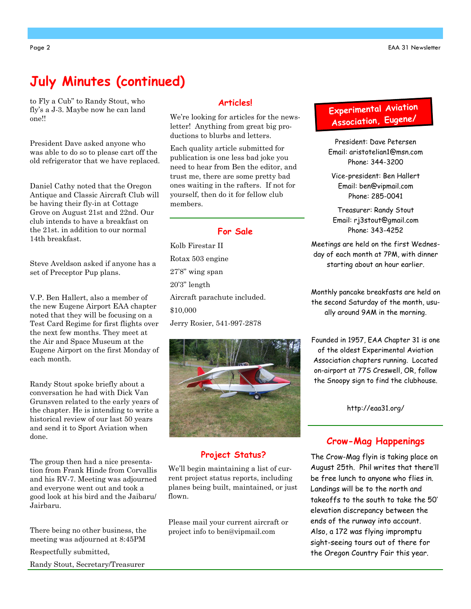# July Minutes (continued)

to Fly a Cub" to Randy Stout, who fly's a J-3. Maybe now he can land one!!

President Dave asked anyone who was able to do so to please cart off the old refrigerator that we have replaced.

Daniel Cathy noted that the Oregon Antique and Classic Aircraft Club will be having their fly-in at Cottage Grove on August 21st and 22nd. Our club intends to have a breakfast on the 21st. in addition to our normal 14th breakfast.

Steve Aveldson asked if anyone has a set of Preceptor Pup plans.

V.P. Ben Hallert, also a member of the new Eugene Airport EAA chapter noted that they will be focusing on a Test Card Regime for first flights over the next few months. They meet at the Air and Space Museum at the Eugene Airport on the first Monday of each month.

Randy Stout spoke briefly about a conversation he had with Dick Van Grunsven related to the early years of the chapter. He is intending to write a historical review of our last 50 years and send it to Sport Aviation when done.

The group then had a nice presentation from Frank Hinde from Corvallis and his RV-7. Meeting was adjourned and everyone went out and took a good look at his bird and the Jaibaru/ Jairbaru.

There being no other business, the meeting was adjourned at 8:45PM Respectfully submitted, Randy Stout, Secretary/Treasurer

#### Articles!

We're looking for articles for the newsletter! Anything from great big productions to blurbs and letters.

Each quality article submitted for publication is one less bad joke you need to hear from Ben the editor, and trust me, there are some pretty bad ones waiting in the rafters. If not for yourself, then do it for fellow club members.

#### For Sale

Kolb Firestar II Rotax 503 engine 27'8" wing span 20'3" length Aircraft parachute included. \$10,000 Jerry Rosier, 541-997-2878



#### Project Status?

We'll begin maintaining a list of current project status reports, including planes being built, maintained, or just flown.

Please mail your current aircraft or project info to ben@vipmail.com

## Experimenta<sup>l</sup> Aviation Association, Eugene/

President: Dave Petersen Email: aristotelian1@msn.com Phone: 344-3200

Vice-president: Ben Hallert Email: ben@vipmail.com Phone: 285-0041

Treasurer: Randy Stout Email: rj3stout@gmail.com Phone: 343-4252

Meetings are held on the first Wednesday of each month at 7PM, with dinner starting about an hour earlier.

Monthly pancake breakfasts are held on the second Saturday of the month, usually around 9AM in the morning.

Founded in 1957, EAA Chapter 31 is one of the oldest Experimental Aviation Association chapters running. Located on-airport at 77S Creswell, OR, follow the Snoopy sign to find the clubhouse.

http://eaa31.org/

#### Crow-Mag Happenings

The Crow-Mag flyin is taking place on August 25th. Phil writes that there'll be free lunch to anyone who flies in. Landings will be to the north and takeoffs to the south to take the 50' elevation discrepancy between the ends of the runway into account. Also, a 172 was flying impromptu sight-seeing tours out of there for the Oregon Country Fair this year.